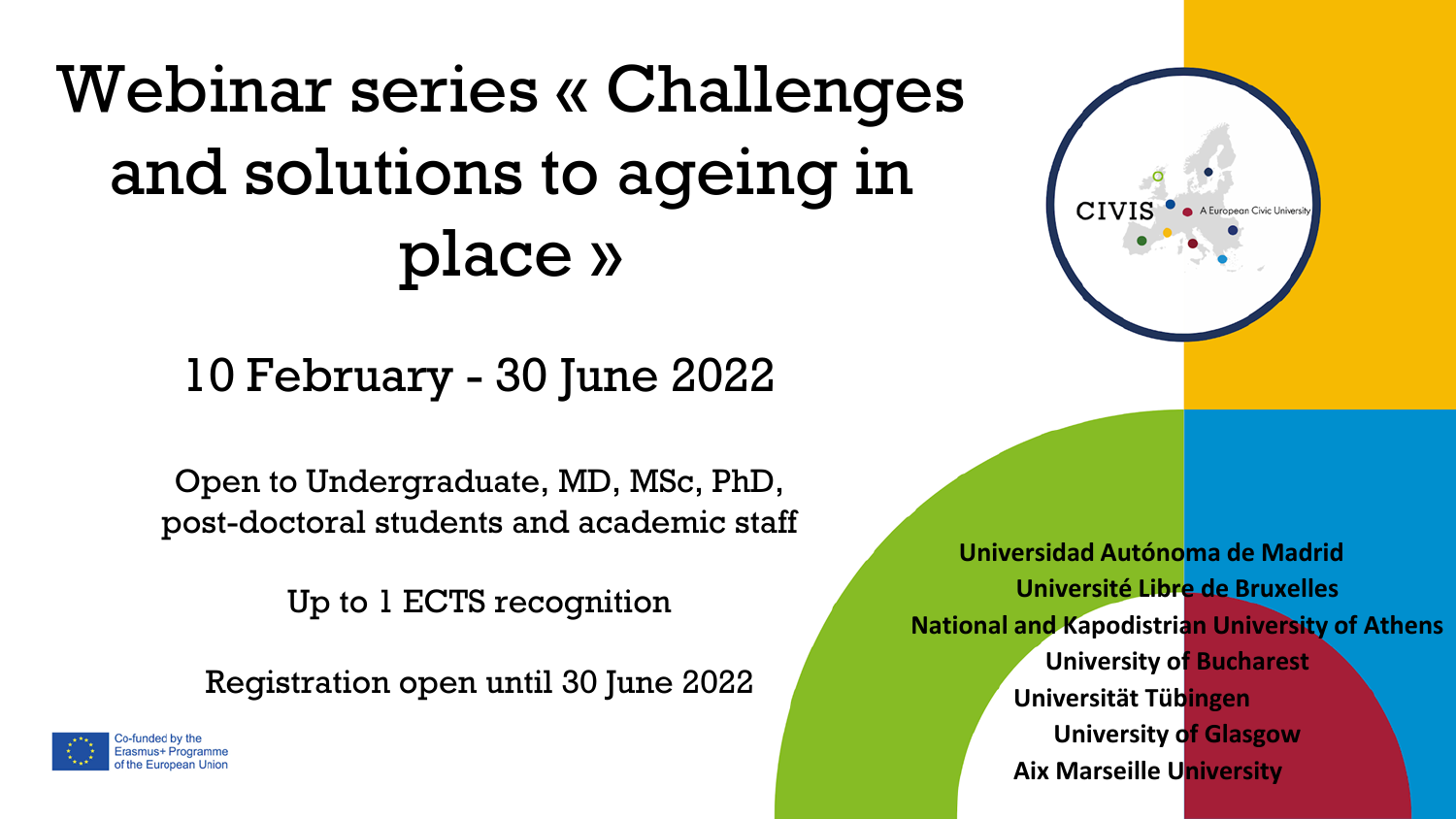## Webinar series « Challenges and solutions to ageing in place »

## 10 February - 30 June 2022

Open to Undergraduate, MD, MSc, PhD, post-doctoral students and academic staff

Up to 1 ECTS recognition

Registration open until 30 June 2022



**Universidad Autónoma de Madrid Université Libre de Bruxelles National and Kapodistrian University of Athens University of Bucharest Universität Tübingen University of Glasgow Aix Marseille University**

CIV